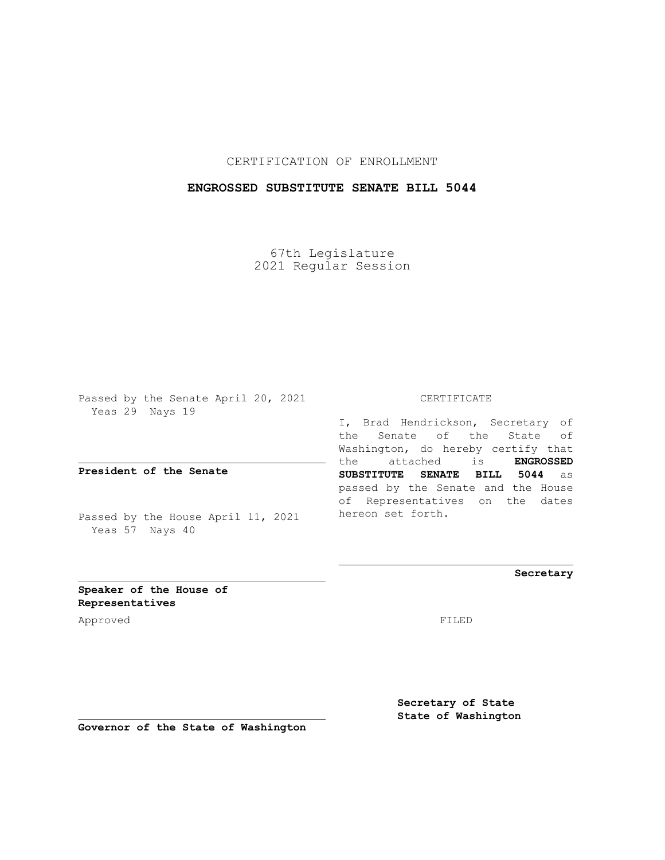## CERTIFICATION OF ENROLLMENT

## **ENGROSSED SUBSTITUTE SENATE BILL 5044**

67th Legislature 2021 Regular Session

Passed by the Senate April 20, 2021 Yeas 29 Nays 19

**President of the Senate**

Passed by the House April 11, 2021 Yeas 57 Nays 40

#### CERTIFICATE

I, Brad Hendrickson, Secretary of the Senate of the State of Washington, do hereby certify that the attached is **ENGROSSED SUBSTITUTE SENATE BILL 5044** as passed by the Senate and the House of Representatives on the dates hereon set forth.

**Secretary**

**Speaker of the House of Representatives**

Approved FILED

**Secretary of State State of Washington**

**Governor of the State of Washington**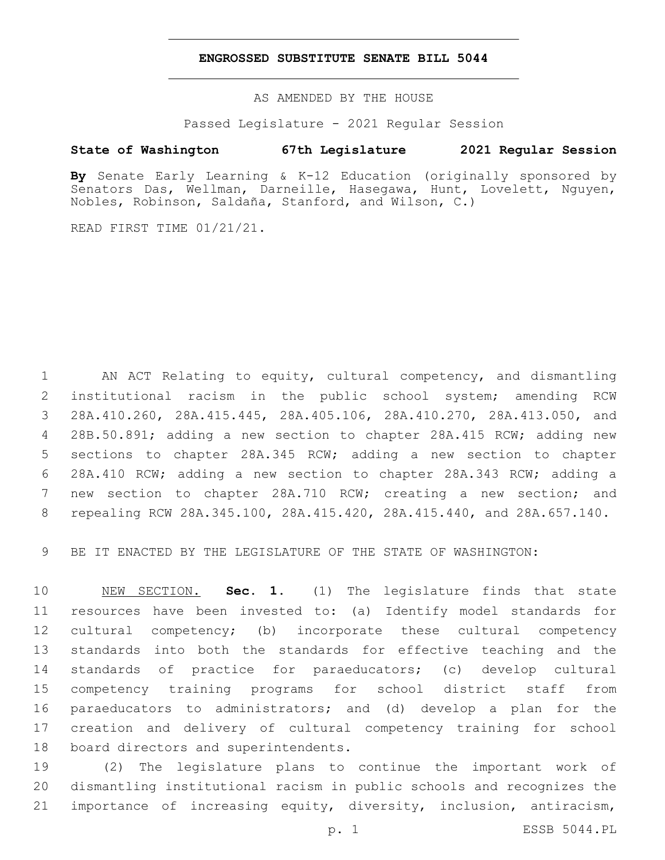### **ENGROSSED SUBSTITUTE SENATE BILL 5044**

AS AMENDED BY THE HOUSE

Passed Legislature - 2021 Regular Session

# **State of Washington 67th Legislature 2021 Regular Session**

**By** Senate Early Learning & K-12 Education (originally sponsored by Senators Das, Wellman, Darneille, Hasegawa, Hunt, Lovelett, Nguyen, Nobles, Robinson, Saldaña, Stanford, and Wilson, C.)

READ FIRST TIME 01/21/21.

 AN ACT Relating to equity, cultural competency, and dismantling institutional racism in the public school system; amending RCW 28A.410.260, 28A.415.445, 28A.405.106, 28A.410.270, 28A.413.050, and 28B.50.891; adding a new section to chapter 28A.415 RCW; adding new sections to chapter 28A.345 RCW; adding a new section to chapter 28A.410 RCW; adding a new section to chapter 28A.343 RCW; adding a new section to chapter 28A.710 RCW; creating a new section; and repealing RCW 28A.345.100, 28A.415.420, 28A.415.440, and 28A.657.140.

BE IT ENACTED BY THE LEGISLATURE OF THE STATE OF WASHINGTON:

 NEW SECTION. **Sec. 1.** (1) The legislature finds that state resources have been invested to: (a) Identify model standards for cultural competency; (b) incorporate these cultural competency standards into both the standards for effective teaching and the standards of practice for paraeducators; (c) develop cultural competency training programs for school district staff from paraeducators to administrators; and (d) develop a plan for the creation and delivery of cultural competency training for school board directors and superintendents.

 (2) The legislature plans to continue the important work of dismantling institutional racism in public schools and recognizes the importance of increasing equity, diversity, inclusion, antiracism,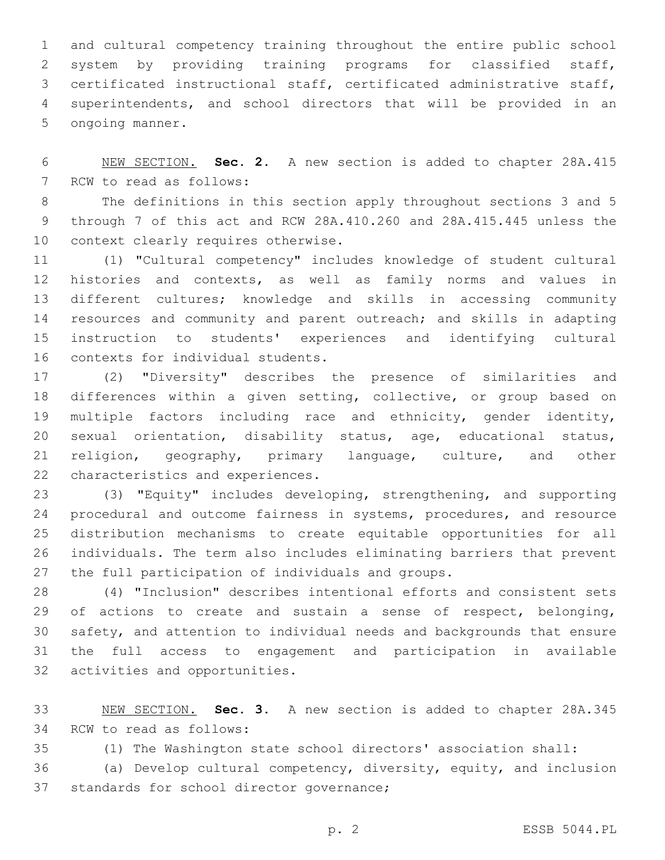and cultural competency training throughout the entire public school system by providing training programs for classified staff, certificated instructional staff, certificated administrative staff, superintendents, and school directors that will be provided in an 5 ongoing manner.

 NEW SECTION. **Sec. 2.** A new section is added to chapter 28A.415 7 RCW to read as follows:

 The definitions in this section apply throughout sections 3 and 5 through 7 of this act and RCW 28A.410.260 and 28A.415.445 unless the 10 context clearly requires otherwise.

 (1) "Cultural competency" includes knowledge of student cultural histories and contexts, as well as family norms and values in different cultures; knowledge and skills in accessing community resources and community and parent outreach; and skills in adapting instruction to students' experiences and identifying cultural 16 contexts for individual students.

 (2) "Diversity" describes the presence of similarities and differences within a given setting, collective, or group based on multiple factors including race and ethnicity, gender identity, sexual orientation, disability status, age, educational status, religion, geography, primary language, culture, and other 22 characteristics and experiences.

 (3) "Equity" includes developing, strengthening, and supporting procedural and outcome fairness in systems, procedures, and resource distribution mechanisms to create equitable opportunities for all individuals. The term also includes eliminating barriers that prevent 27 the full participation of individuals and groups.

 (4) "Inclusion" describes intentional efforts and consistent sets of actions to create and sustain a sense of respect, belonging, safety, and attention to individual needs and backgrounds that ensure the full access to engagement and participation in available 32 activities and opportunities.

 NEW SECTION. **Sec. 3.** A new section is added to chapter 28A.345 34 RCW to read as follows:

(1) The Washington state school directors' association shall:

 (a) Develop cultural competency, diversity, equity, and inclusion 37 standards for school director governance;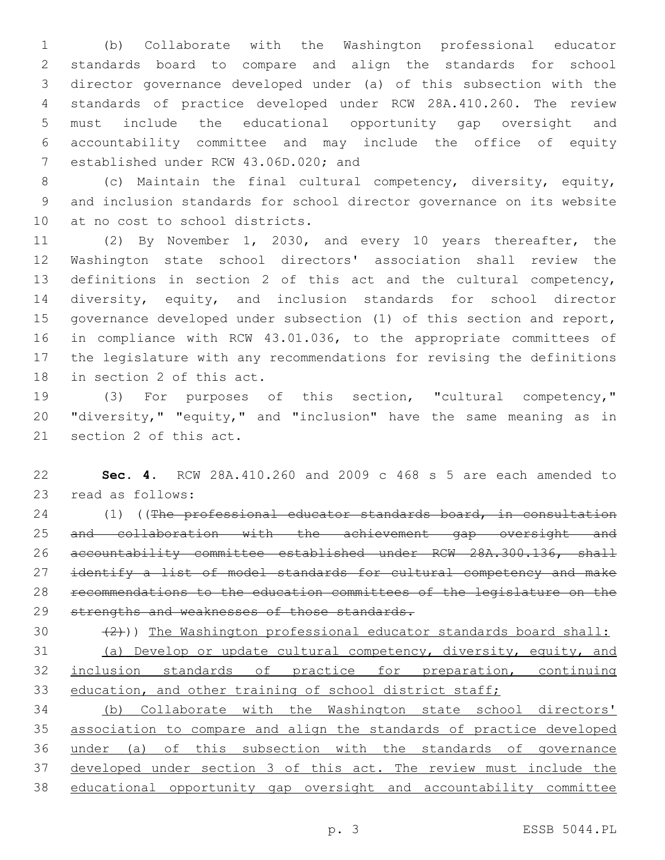(b) Collaborate with the Washington professional educator standards board to compare and align the standards for school director governance developed under (a) of this subsection with the standards of practice developed under RCW 28A.410.260. The review must include the educational opportunity gap oversight and accountability committee and may include the office of equity 7 established under RCW 43.06D.020; and

 (c) Maintain the final cultural competency, diversity, equity, and inclusion standards for school director governance on its website 10 at no cost to school districts.

 (2) By November 1, 2030, and every 10 years thereafter, the Washington state school directors' association shall review the definitions in section 2 of this act and the cultural competency, diversity, equity, and inclusion standards for school director governance developed under subsection (1) of this section and report, in compliance with RCW 43.01.036, to the appropriate committees of the legislature with any recommendations for revising the definitions 18 in section 2 of this act.

 (3) For purposes of this section, "cultural competency," "diversity," "equity," and "inclusion" have the same meaning as in 21 section 2 of this act.

 **Sec. 4.** RCW 28A.410.260 and 2009 c 468 s 5 are each amended to 23 read as follows:

24 (1) ((The professional educator standards board, in consultation and collaboration with the achievement gap oversight and accountability committee established under RCW 28A.300.136, shall 27 identify a list of model standards for cultural competency and make recommendations to the education committees of the legislature on the 29 strengths and weaknesses of those standards.

30  $(2)$ )) The Washington professional educator standards board shall:

 (a) Develop or update cultural competency, diversity, equity, and 32 inclusion standards of practice for preparation, continuing 33 education, and other training of school district staff;

 (b) Collaborate with the Washington state school directors' association to compare and align the standards of practice developed under (a) of this subsection with the standards of governance developed under section 3 of this act. The review must include the educational opportunity gap oversight and accountability committee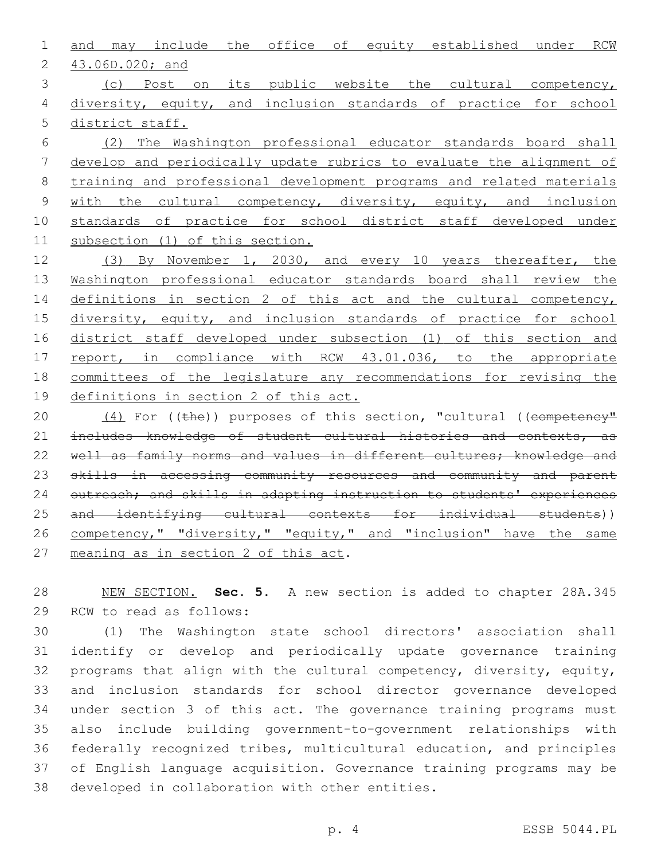1 and may include the office of equity established under RCW 43.06D.020; and2 3 (c) Post on its public website the cultural competency,

4 diversity, equity, and inclusion standards of practice for school 5 district staff.

 (2) The Washington professional educator standards board shall develop and periodically update rubrics to evaluate the alignment of training and professional development programs and related materials 9 with the cultural competency, diversity, equity, and inclusion standards of practice for school district staff developed under subsection (1) of this section.

12 (3) By November 1, 2030, and every 10 years thereafter, the 13 Washington professional educator standards board shall review the 14 definitions in section 2 of this act and the cultural competency, 15 diversity, equity, and inclusion standards of practice for school 16 district staff developed under subsection (1) of this section and 17 report, in compliance with RCW 43.01.036, to the appropriate 18 committees of the legislature any recommendations for revising the 19 definitions in section 2 of this act.

20 (4) For ((the)) purposes of this section, "cultural ((competency" 21 includes knowledge of student cultural histories and contexts, as 22 well as family norms and values in different cultures; knowledge and 23 skills in accessing community resources and community and parent 24 outreach; and skills in adapting instruction to students' experiences 25 and identifying cultural contexts for individual students)) 26 competency," "diversity," "equity," and "inclusion" have the same 27 meaning as in section 2 of this act.

28 NEW SECTION. **Sec. 5.** A new section is added to chapter 28A.345 29 RCW to read as follows:

 (1) The Washington state school directors' association shall identify or develop and periodically update governance training programs that align with the cultural competency, diversity, equity, and inclusion standards for school director governance developed under section 3 of this act. The governance training programs must also include building government-to-government relationships with federally recognized tribes, multicultural education, and principles of English language acquisition. Governance training programs may be 38 developed in collaboration with other entities.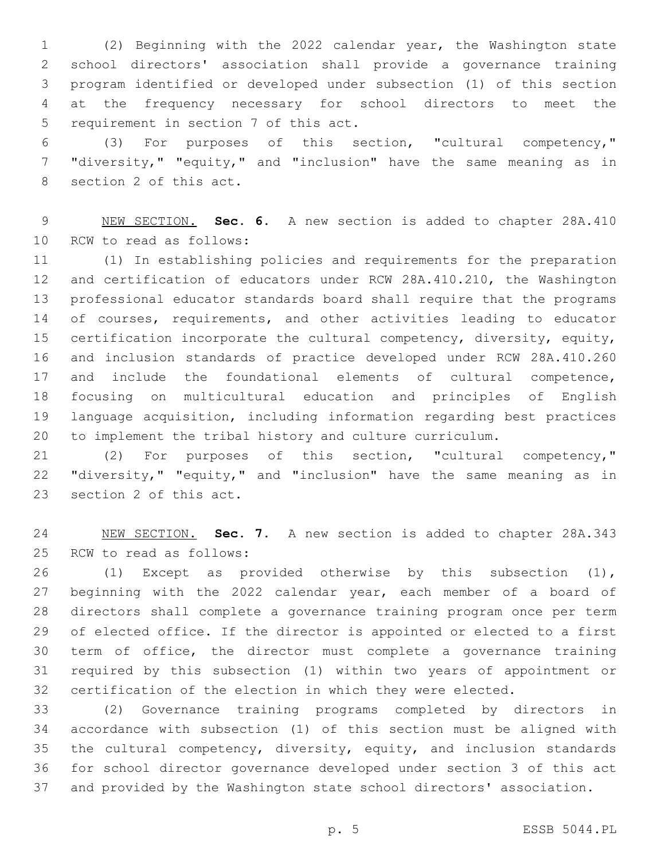(2) Beginning with the 2022 calendar year, the Washington state school directors' association shall provide a governance training program identified or developed under subsection (1) of this section at the frequency necessary for school directors to meet the 5 requirement in section 7 of this act.

 (3) For purposes of this section, "cultural competency," "diversity," "equity," and "inclusion" have the same meaning as in 8 section 2 of this act.

 NEW SECTION. **Sec. 6.** A new section is added to chapter 28A.410 10 RCW to read as follows:

 (1) In establishing policies and requirements for the preparation and certification of educators under RCW 28A.410.210, the Washington professional educator standards board shall require that the programs 14 of courses, requirements, and other activities leading to educator certification incorporate the cultural competency, diversity, equity, and inclusion standards of practice developed under RCW 28A.410.260 and include the foundational elements of cultural competence, focusing on multicultural education and principles of English language acquisition, including information regarding best practices to implement the tribal history and culture curriculum.

 (2) For purposes of this section, "cultural competency," "diversity," "equity," and "inclusion" have the same meaning as in 23 section 2 of this act.

 NEW SECTION. **Sec. 7.** A new section is added to chapter 28A.343 25 RCW to read as follows:

 (1) Except as provided otherwise by this subsection (1), beginning with the 2022 calendar year, each member of a board of directors shall complete a governance training program once per term of elected office. If the director is appointed or elected to a first term of office, the director must complete a governance training required by this subsection (1) within two years of appointment or certification of the election in which they were elected.

 (2) Governance training programs completed by directors in accordance with subsection (1) of this section must be aligned with the cultural competency, diversity, equity, and inclusion standards for school director governance developed under section 3 of this act and provided by the Washington state school directors' association.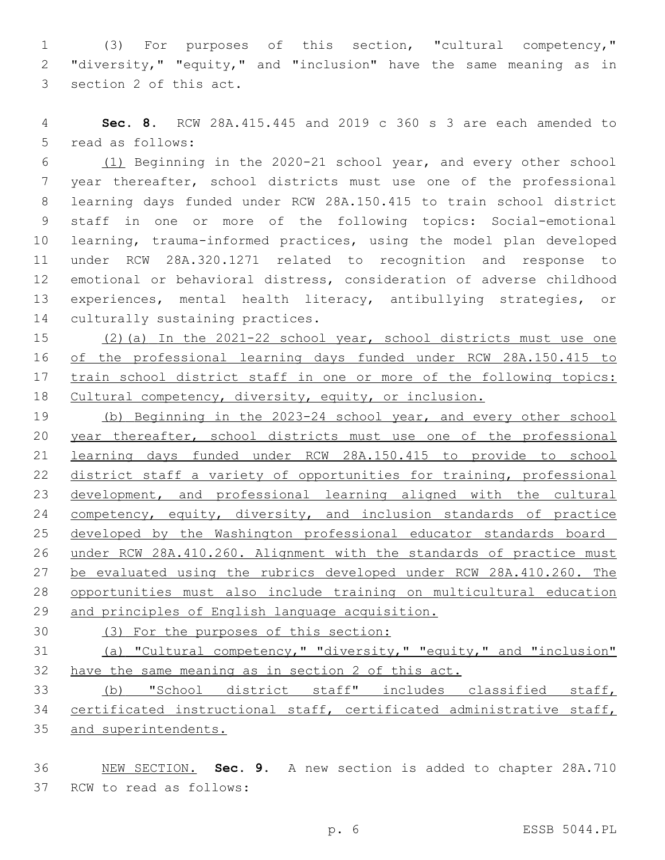(3) For purposes of this section, "cultural competency," "diversity," "equity," and "inclusion" have the same meaning as in 3 section 2 of this act.

 **Sec. 8.** RCW 28A.415.445 and 2019 c 360 s 3 are each amended to 5 read as follows:

 (1) Beginning in the 2020-21 school year, and every other school year thereafter, school districts must use one of the professional learning days funded under RCW 28A.150.415 to train school district staff in one or more of the following topics: Social-emotional learning, trauma-informed practices, using the model plan developed under RCW 28A.320.1271 related to recognition and response to emotional or behavioral distress, consideration of adverse childhood experiences, mental health literacy, antibullying strategies, or 14 culturally sustaining practices.

 (2)(a) In the 2021-22 school year, school districts must use one of the professional learning days funded under RCW 28A.150.415 to train school district staff in one or more of the following topics: Cultural competency, diversity, equity, or inclusion.

 (b) Beginning in the 2023-24 school year, and every other school 20 year thereafter, school districts must use one of the professional learning days funded under RCW 28A.150.415 to provide to school district staff a variety of opportunities for training, professional development, and professional learning aligned with the cultural 24 competency, equity, diversity, and inclusion standards of practice developed by the Washington professional educator standards board under RCW 28A.410.260. Alignment with the standards of practice must be evaluated using the rubrics developed under RCW 28A.410.260. The opportunities must also include training on multicultural education and principles of English language acquisition.

(3) For the purposes of this section:

 (a) "Cultural competency," "diversity," "equity," and "inclusion" 32 have the same meaning as in section 2 of this act.

 (b) "School district staff" includes classified staff, certificated instructional staff, certificated administrative staff, and superintendents.

 NEW SECTION. **Sec. 9.** A new section is added to chapter 28A.710 37 RCW to read as follows: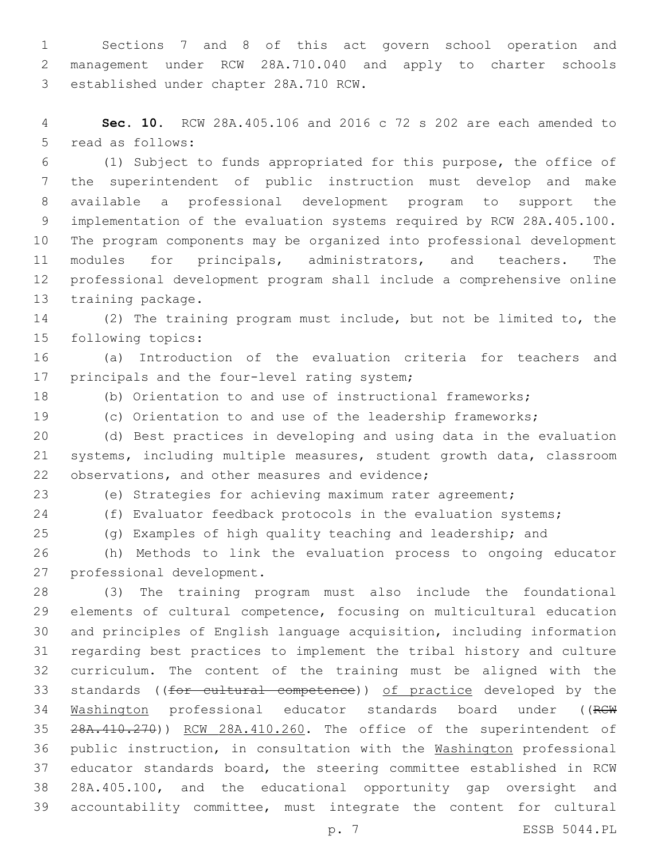Sections 7 and 8 of this act govern school operation and management under RCW 28A.710.040 and apply to charter schools 3 established under chapter 28A.710 RCW.

 **Sec. 10.** RCW 28A.405.106 and 2016 c 72 s 202 are each amended to 5 read as follows:

 (1) Subject to funds appropriated for this purpose, the office of the superintendent of public instruction must develop and make available a professional development program to support the implementation of the evaluation systems required by RCW 28A.405.100. The program components may be organized into professional development modules for principals, administrators, and teachers. The professional development program shall include a comprehensive online 13 training package.

 (2) The training program must include, but not be limited to, the 15 following topics:

 (a) Introduction of the evaluation criteria for teachers and 17 principals and the four-level rating system;

(b) Orientation to and use of instructional frameworks;

(c) Orientation to and use of the leadership frameworks;

 (d) Best practices in developing and using data in the evaluation systems, including multiple measures, student growth data, classroom 22 observations, and other measures and evidence;

(e) Strategies for achieving maximum rater agreement;

(f) Evaluator feedback protocols in the evaluation systems;

(g) Examples of high quality teaching and leadership; and

 (h) Methods to link the evaluation process to ongoing educator 27 professional development.

 (3) The training program must also include the foundational elements of cultural competence, focusing on multicultural education and principles of English language acquisition, including information regarding best practices to implement the tribal history and culture curriculum. The content of the training must be aligned with the 33 standards ((for cultural competence)) of practice developed by the 34 Washington professional educator standards board under ((RCW 35 28A.410.270)) RCW 28A.410.260. The office of the superintendent of public instruction, in consultation with the Washington professional educator standards board, the steering committee established in RCW 28A.405.100, and the educational opportunity gap oversight and accountability committee, must integrate the content for cultural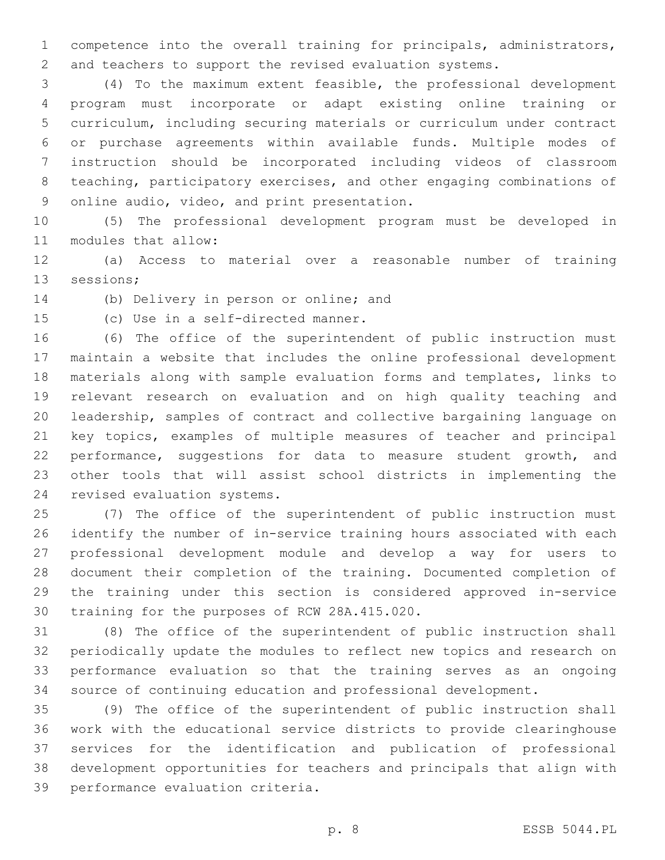competence into the overall training for principals, administrators, and teachers to support the revised evaluation systems.

 (4) To the maximum extent feasible, the professional development program must incorporate or adapt existing online training or curriculum, including securing materials or curriculum under contract or purchase agreements within available funds. Multiple modes of instruction should be incorporated including videos of classroom teaching, participatory exercises, and other engaging combinations of 9 online audio, video, and print presentation.

 (5) The professional development program must be developed in 11 modules that allow:

 (a) Access to material over a reasonable number of training 13 sessions;

14 (b) Delivery in person or online; and

15 (c) Use in a self-directed manner.

 (6) The office of the superintendent of public instruction must maintain a website that includes the online professional development materials along with sample evaluation forms and templates, links to relevant research on evaluation and on high quality teaching and leadership, samples of contract and collective bargaining language on key topics, examples of multiple measures of teacher and principal 22 performance, suggestions for data to measure student growth, and other tools that will assist school districts in implementing the 24 revised evaluation systems.

 (7) The office of the superintendent of public instruction must identify the number of in-service training hours associated with each professional development module and develop a way for users to document their completion of the training. Documented completion of the training under this section is considered approved in-service 30 training for the purposes of RCW 28A.415.020.

 (8) The office of the superintendent of public instruction shall periodically update the modules to reflect new topics and research on performance evaluation so that the training serves as an ongoing source of continuing education and professional development.

 (9) The office of the superintendent of public instruction shall work with the educational service districts to provide clearinghouse services for the identification and publication of professional development opportunities for teachers and principals that align with 39 performance evaluation criteria.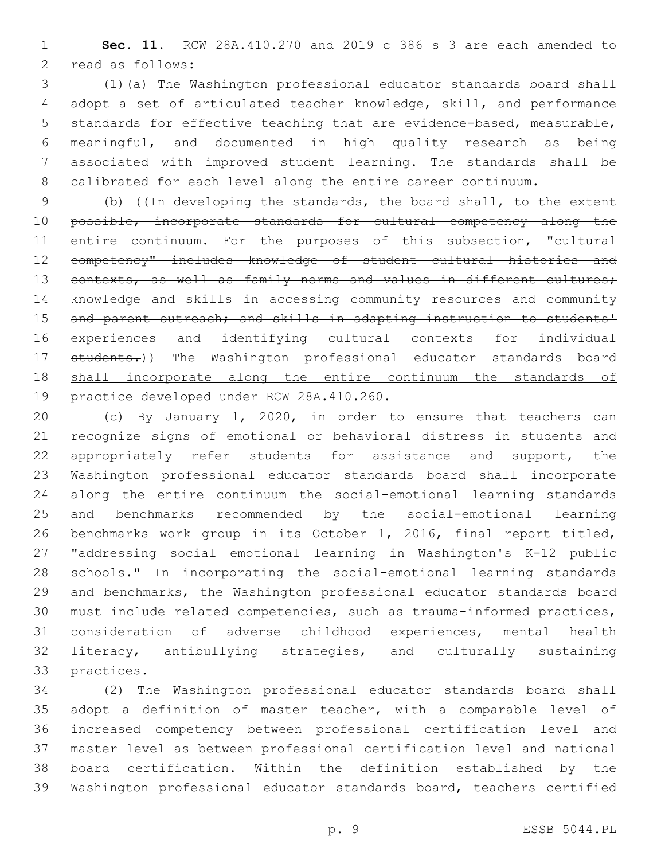**Sec. 11.** RCW 28A.410.270 and 2019 c 386 s 3 are each amended to 2 read as follows:

 (1)(a) The Washington professional educator standards board shall adopt a set of articulated teacher knowledge, skill, and performance standards for effective teaching that are evidence-based, measurable, meaningful, and documented in high quality research as being associated with improved student learning. The standards shall be calibrated for each level along the entire career continuum.

 (b) ((In developing the standards, the board shall, to the extent 10 possible, incorporate standards for cultural competency along the 11 entire continuum. For the purposes of this subsection, "cultural competency" includes knowledge of student cultural histories and 13 contexts, as well as family norms and values in different cultures; knowledge and skills in accessing community resources and community 15 and parent outreach; and skills in adapting instruction to students<sup>1</sup> experiences and identifying cultural contexts for individual students.)) The Washington professional educator standards board shall incorporate along the entire continuum the standards of 19 practice developed under RCW 28A.410.260.

 (c) By January 1, 2020, in order to ensure that teachers can recognize signs of emotional or behavioral distress in students and appropriately refer students for assistance and support, the Washington professional educator standards board shall incorporate along the entire continuum the social-emotional learning standards and benchmarks recommended by the social-emotional learning benchmarks work group in its October 1, 2016, final report titled, "addressing social emotional learning in Washington's K-12 public schools." In incorporating the social-emotional learning standards and benchmarks, the Washington professional educator standards board must include related competencies, such as trauma-informed practices, consideration of adverse childhood experiences, mental health literacy, antibullying strategies, and culturally sustaining 33 practices.

 (2) The Washington professional educator standards board shall adopt a definition of master teacher, with a comparable level of increased competency between professional certification level and master level as between professional certification level and national board certification. Within the definition established by the Washington professional educator standards board, teachers certified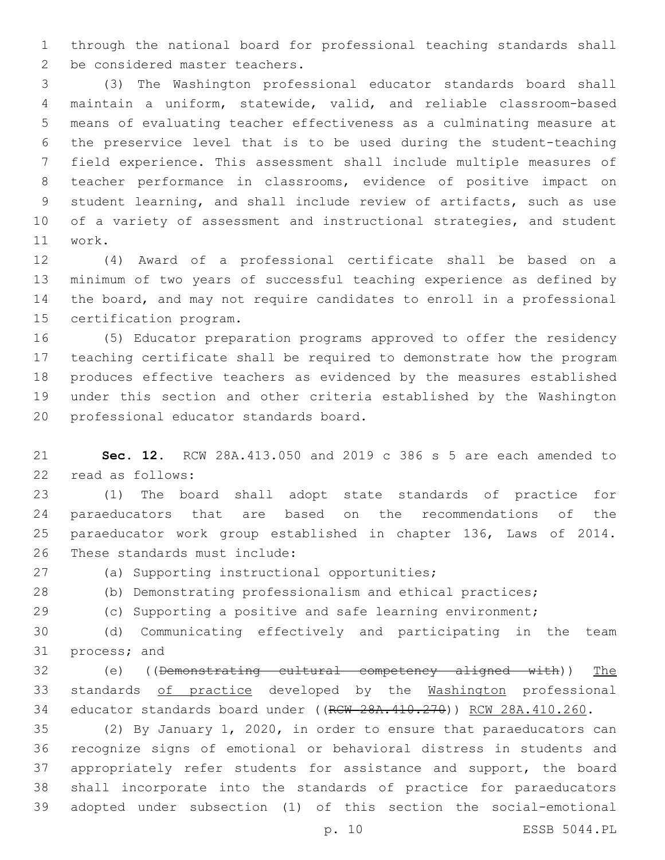through the national board for professional teaching standards shall 2 be considered master teachers.

 (3) The Washington professional educator standards board shall maintain a uniform, statewide, valid, and reliable classroom-based means of evaluating teacher effectiveness as a culminating measure at the preservice level that is to be used during the student-teaching field experience. This assessment shall include multiple measures of teacher performance in classrooms, evidence of positive impact on student learning, and shall include review of artifacts, such as use of a variety of assessment and instructional strategies, and student work.11

 (4) Award of a professional certificate shall be based on a minimum of two years of successful teaching experience as defined by the board, and may not require candidates to enroll in a professional 15 certification program.

 (5) Educator preparation programs approved to offer the residency teaching certificate shall be required to demonstrate how the program produces effective teachers as evidenced by the measures established under this section and other criteria established by the Washington 20 professional educator standards board.

 **Sec. 12.** RCW 28A.413.050 and 2019 c 386 s 5 are each amended to 22 read as follows:

 (1) The board shall adopt state standards of practice for paraeducators that are based on the recommendations of the paraeducator work group established in chapter 136, Laws of 2014. 26 These standards must include:

27 (a) Supporting instructional opportunities;

(b) Demonstrating professionalism and ethical practices;

(c) Supporting a positive and safe learning environment;

 (d) Communicating effectively and participating in the team 31 process; and

 (e) ((Demonstrating cultural competency aligned with)) The standards of practice developed by the Washington professional 34 educator standards board under ((RCW 28A.410.270)) RCW 28A.410.260.

 (2) By January 1, 2020, in order to ensure that paraeducators can recognize signs of emotional or behavioral distress in students and appropriately refer students for assistance and support, the board shall incorporate into the standards of practice for paraeducators adopted under subsection (1) of this section the social-emotional

p. 10 ESSB 5044.PL